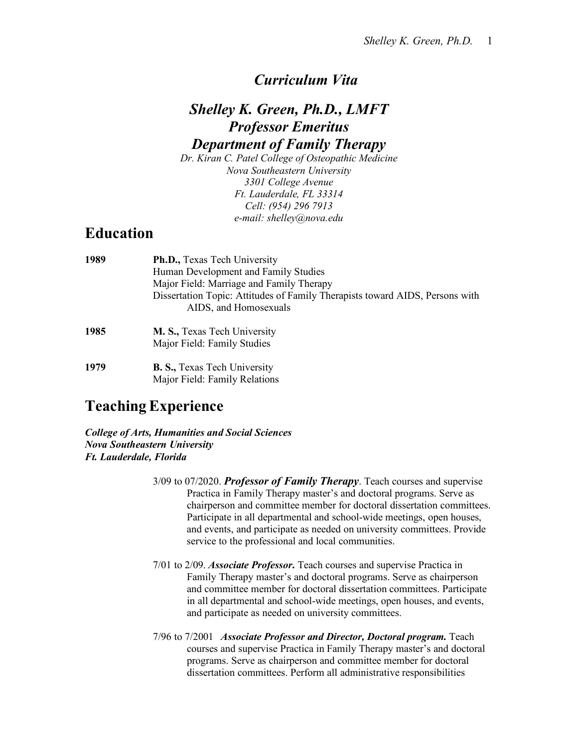#### *Curriculum Vita*

# *Shelley K. Green, Ph.D., LMFT Professor Emeritus Department of Family Therapy*

*Dr. Kiran C. Patel College of Osteopathic Medicine Nova Southeastern University 3301 College Avenue Ft. Lauderdale, FL 33314 Cell: (954) 296 7913 e-mail: shelley@nova.edu*

## **Education**

| 1989 | Ph.D., Texas Tech University                                                 |
|------|------------------------------------------------------------------------------|
|      | Human Development and Family Studies                                         |
|      | Major Field: Marriage and Family Therapy                                     |
|      | Dissertation Topic: Attitudes of Family Therapists toward AIDS, Persons with |
|      | AIDS, and Homosexuals                                                        |
| 1985 | M. S., Texas Tech University                                                 |
|      | Major Field: Family Studies                                                  |
| 1979 | <b>B. S., Texas Tech University</b>                                          |

# **TeachingExperience**

*College of Arts, Humanities and Social Sciences Nova Southeastern University Ft. Lauderdale, Florida*

Major Field: Family Relations

- 3/09 to 07/2020. *Professor of Family Therapy*. Teach courses and supervise Practica in Family Therapy master's and doctoral programs. Serve as chairperson and committee member for doctoral dissertation committees. Participate in all departmental and school-wide meetings, open houses, and events, and participate as needed on university committees. Provide service to the professional and local communities.
- 7/01 to 2/09. *Associate Professor***.** Teach courses and supervise Practica in Family Therapy master's and doctoral programs. Serve as chairperson and committee member for doctoral dissertation committees. Participate in all departmental and school-wide meetings, open houses, and events, and participate as needed on university committees.
- 7/96 to 7/2001 *Associate Professor and Director, Doctoral program.* Teach courses and supervise Practica in Family Therapy master's and doctoral programs. Serve as chairperson and committee member for doctoral dissertation committees. Perform all administrative responsibilities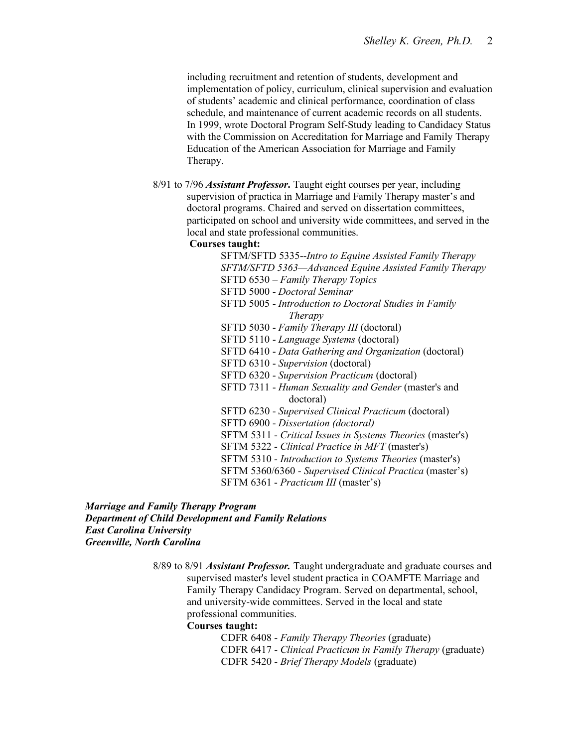including recruitment and retention of students, development and implementation of policy, curriculum, clinical supervision and evaluation of students' academic and clinical performance, coordination of class schedule, and maintenance of current academic records on all students. In 1999, wrote Doctoral Program Self-Study leading to Candidacy Status with the Commission on Accreditation for Marriage and Family Therapy Education of the American Association for Marriage and Family Therapy.

8/91 to 7/96 *Assistant Professor***.** Taught eight courses per year, including supervision of practica in Marriage and Family Therapy master's and doctoral programs. Chaired and served on dissertation committees, participated on school and university wide committees, and served in the local and state professional communities.

#### **Courses taught:**

SFTM/SFTD 5335--*Intro to Equine Assisted Family Therapy SFTM/SFTD 5363—Advanced Equine Assisted Family Therapy* SFTD 6530 – *Family Therapy Topics* SFTD 5000 - *Doctoral Seminar* SFTD 5005 - *Introduction to Doctoral Studies in Family Therapy* SFTD 5030 - *Family Therapy III* (doctoral) SFTD 5110 - *Language Systems* (doctoral) SFTD 6410 - *Data Gathering and Organization* (doctoral) SFTD 6310 - *Supervision* (doctoral) SFTD 6320 - *Supervision Practicum* (doctoral) SFTD 7311 - *Human Sexuality and Gender* (master's and doctoral) SFTD 6230 - *Supervised Clinical Practicum* (doctoral) SFTD 6900 - *Dissertation (doctoral)* SFTM 5311 - *Critical Issues in Systems Theories* (master's) SFTM 5322 - *Clinical Practice in MFT* (master's) SFTM 5310 - *Introduction to Systems Theories* (master's) SFTM 5360/6360 - *Supervised Clinical Practica* (master's) SFTM 6361 - *Practicum III* (master's)

#### *Marriage and Family Therapy Program Department of Child Development and Family Relations East Carolina University Greenville, North Carolina*

8/89 to 8/91 *Assistant Professor.* Taught undergraduate and graduate courses and supervised master's level student practica in COAMFTE Marriage and Family Therapy Candidacy Program. Served on departmental, school, and university-wide committees. Served in the local and state professional communities.

#### **Courses taught:**

CDFR 6408 - *Family Therapy Theories* (graduate) CDFR 6417 - *Clinical Practicum in Family Therapy* (graduate) CDFR 5420 - *Brief Therapy Models* (graduate)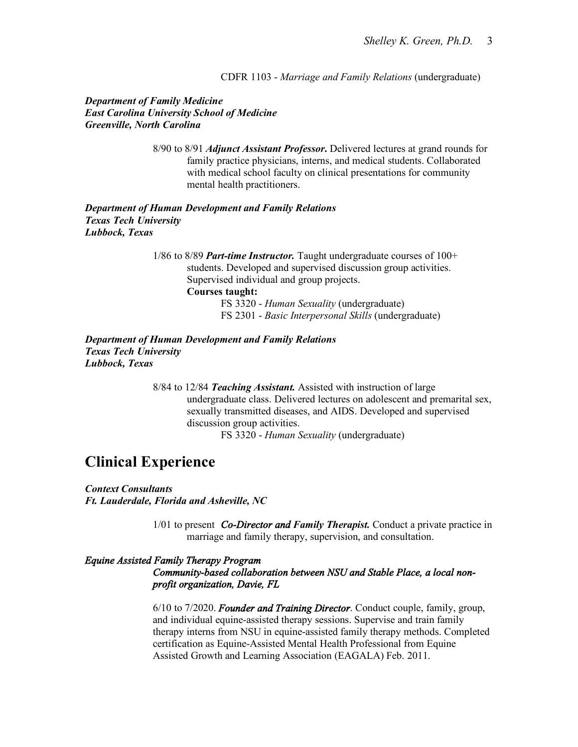CDFR 1103 - *Marriage and Family Relations* (undergraduate)

*Department of Family Medicine East Carolina University School of Medicine Greenville, North Carolina*

> 8/90 to 8/91 *Adjunct Assistant Professor***.** Delivered lectures at grand rounds for family practice physicians, interns, and medical students. Collaborated with medical school faculty on clinical presentations for community mental health practitioners.

*Department of Human Development and Family Relations Texas Tech University Lubbock, Texas*

> 1/86 to 8/89 *Part-time Instructor.* Taught undergraduate courses of 100+ students. Developed and supervised discussion group activities. Supervised individual and group projects. **Courses taught:** FS 3320 - *Human Sexuality* (undergraduate) FS 2301 - *Basic Interpersonal Skills* (undergraduate)

*Department of Human Development and Family Relations Texas Tech University Lubbock, Texas*

> 8/84 to 12/84 *Teaching Assistant.* Assisted with instruction of large undergraduate class. Delivered lectures on adolescent and premarital sex, sexually transmitted diseases, and AIDS. Developed and supervised discussion group activities. FS 3320 - *Human Sexuality* (undergraduate)

# **Clinical Experience**

*Context Consultants Ft. Lauderdale, Florida and Asheville, NC*

> 1/01 to present *Co-Director and Family Therapist.* Conduct a private practice in marriage and family therapy, supervision, and consultation.

#### *Equine Assisted Family Therapy Program Community-based collaboration between NSU and Stable Place, a local nonprofit organization, Davie, FL*

6/10 to 7/2020. *Founder and Training Director*. Conduct couple, family, group, and individual equine-assisted therapy sessions. Supervise and train family therapy interns from NSU in equine-assisted family therapy methods. Completed certification as Equine-Assisted Mental Health Professional from Equine Assisted Growth and Learning Association (EAGALA) Feb. 2011.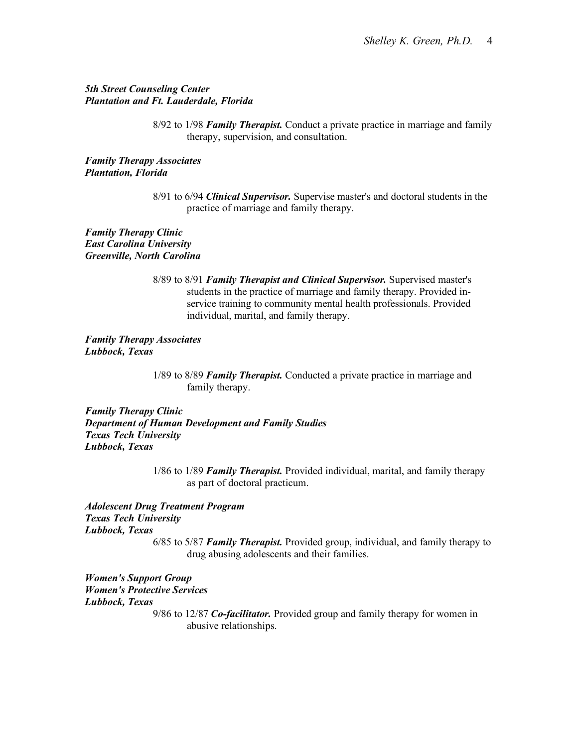#### *5th Street Counseling Center Plantation and Ft. Lauderdale, Florida*

8/92 to 1/98 *Family Therapist.* Conduct a private practice in marriage and family therapy, supervision, and consultation.

*Family Therapy Associates Plantation, Florida*

*Family Therapy Clinic East Carolina University Greenville, North Carolina*

> 8/89 to 8/91 *Family Therapist and Clinical Supervisor.* Supervised master's students in the practice of marriage and family therapy. Provided inservice training to community mental health professionals. Provided individual, marital, and family therapy.

*Family Therapy Associates Lubbock, Texas*

> 1/89 to 8/89 *Family Therapist.* Conducted a private practice in marriage and family therapy.

*Family Therapy Clinic Department of Human Development and Family Studies Texas Tech University Lubbock, Texas*

> 1/86 to 1/89 *Family Therapist.* Provided individual, marital, and family therapy as part of doctoral practicum.

*Adolescent Drug Treatment Program Texas Tech University Lubbock, Texas* 6/85 to 5/87 *Family Therapist.* Provided group, individual, and family therapy to drug abusing adolescents and their families.

*Women's Support Group Women's Protective Services Lubbock, Texas*

9/86 to 12/87 *Co-facilitator.* Provided group and family therapy for women in abusive relationships.

<sup>8/91</sup> to 6/94 *Clinical Supervisor.* Supervise master's and doctoral students in the practice of marriage and family therapy.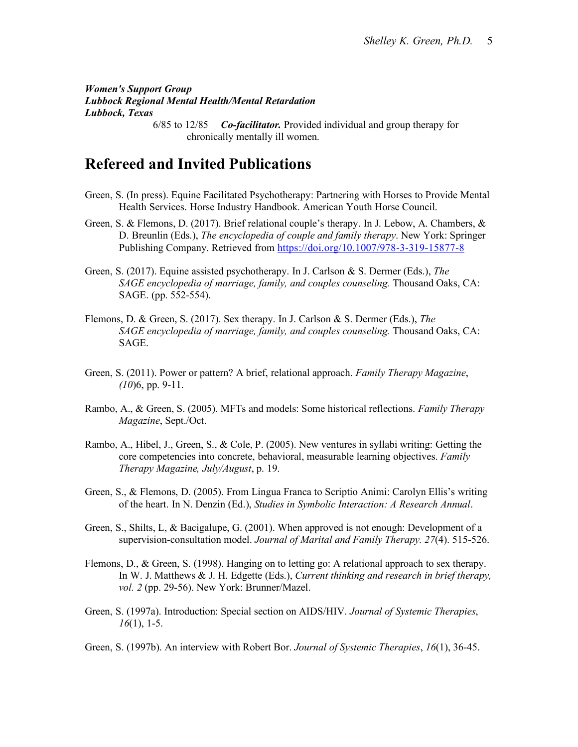*Women's Support Group Lubbock Regional Mental Health/Mental Retardation Lubbock, Texas*

6/85 to 12/85 *Co-facilitator.* Provided individual and group therapy for chronically mentally ill women.

# **Refereed and Invited Publications**

- Green, S. (In press). Equine Facilitated Psychotherapy: Partnering with Horses to Provide Mental Health Services. Horse Industry Handbook. American Youth Horse Council.
- Green, S. & Flemons, D. (2017). Brief relational couple's therapy. In J. Lebow, A. Chambers, & D. Breunlin (Eds.), *The encyclopedia of couple and family therapy*. New York: Springer Publishing Company. Retrieved from [https://doi.org/10.1007/978-3-319-15877-8](https://na01.safelinks.protection.outlook.com/?url=https%3A%2F%2Fdoi.org%2F10.1007%2F978-3-319-15877-8&data=02%7C01%7C%7C94990fa802af4ec176db08d5f3e73377%7C2c2b2d312e3e4df1b571fb37c042ff1b%7C0%7C0%7C636683096670349114&sdata=JBR7XBMnYXv0DP3i0UoXN%2BLe29jzA0G9%2BW7OpPOFkU8%3D&reserved=0)
- Green, S. (2017). Equine assisted psychotherapy. In J. Carlson & S. Dermer (Eds.), *The SAGE encyclopedia of marriage, family, and couples counseling.* Thousand Oaks, CA: SAGE. (pp. 552-554).
- Flemons, D. & Green, S. (2017). Sex therapy. In J. Carlson & S. Dermer (Eds.), *The SAGE encyclopedia of marriage, family, and couples counseling.* Thousand Oaks, CA: SAGE.
- Green, S. (2011). Power or pattern? A brief, relational approach. *Family Therapy Magazine*, *(10*)6, pp. 9-11.
- Rambo, A., & Green, S. (2005). MFTs and models: Some historical reflections. *Family Therapy Magazine*, Sept./Oct.
- Rambo, A., Hibel, J., Green, S., & Cole, P. (2005). New ventures in syllabi writing: Getting the core competencies into concrete, behavioral, measurable learning objectives. *Family Therapy Magazine, July/August*, p. 19.
- Green, S., & Flemons, D. (2005). From Lingua Franca to Scriptio Animi: Carolyn Ellis's writing of the heart. In N. Denzin (Ed.), *Studies in Symbolic Interaction: A Research Annual*.
- Green, S., Shilts, L, & Bacigalupe, G. (2001). When approved is not enough: Development of a supervision-consultation model. *Journal of Marital and Family Therapy. 27*(4). 515-526.
- Flemons, D., & Green, S. (1998). Hanging on to letting go: A relational approach to sex therapy. In W. J. Matthews & J. H. Edgette (Eds.), *Current thinking and research in brief therapy, vol. 2* (pp. 29-56). New York: Brunner/Mazel.
- Green, S. (1997a). Introduction: Special section on AIDS/HIV. *Journal of Systemic Therapies*, *16*(1), 1-5.
- Green, S. (1997b). An interview with Robert Bor. *Journal of Systemic Therapies*, *16*(1), 36-45.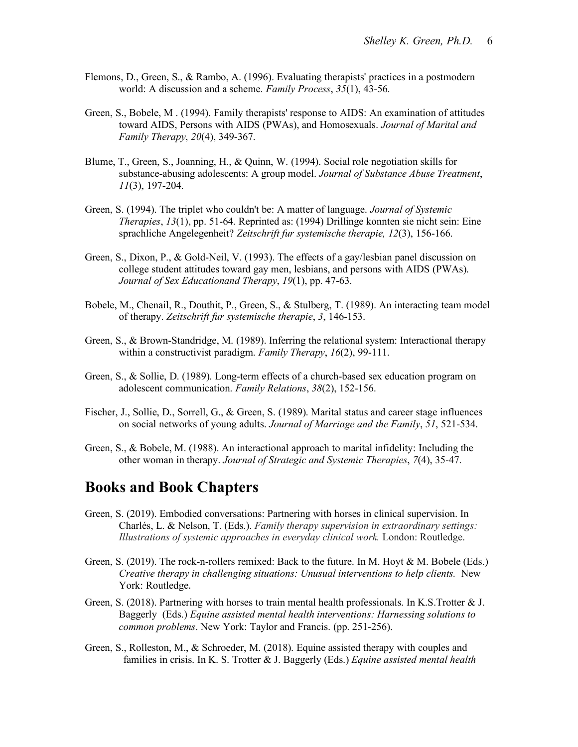- Flemons, D., Green, S., & Rambo, A. (1996). Evaluating therapists' practices in a postmodern world: A discussion and a scheme. *Family Process*, *35*(1), 43-56.
- Green, S., Bobele, M . (1994). Family therapists' response to AIDS: An examination of attitudes toward AIDS, Persons with AIDS (PWAs), and Homosexuals. *Journal of Marital and Family Therapy*, *20*(4), 349-367.
- Blume, T., Green, S., Joanning, H., & Quinn, W. (1994). Social role negotiation skills for substance-abusing adolescents: A group model. *Journal of Substance Abuse Treatment*, *11*(3), 197-204.
- Green, S. (1994). The triplet who couldn't be: A matter of language. *Journal of Systemic Therapies*, *13*(1), pp. 51-64. Reprinted as: (1994) Drillinge konnten sie nicht sein: Eine sprachliche Angelegenheit? *Zeitschrift fur systemische therapie, 12*(3), 156-166.
- Green, S., Dixon, P., & Gold-Neil, V. (1993). The effects of a gay/lesbian panel discussion on college student attitudes toward gay men, lesbians, and persons with AIDS (PWAs). *Journal of Sex Educationand Therapy*, *19*(1), pp. 47-63.
- Bobele, M., Chenail, R., Douthit, P., Green, S., & Stulberg, T. (1989). An interacting team model of therapy. *Zeitschrift fur systemische therapie*, *3*, 146-153.
- Green, S., & Brown-Standridge, M. (1989). Inferring the relational system: Interactional therapy within a constructivist paradigm. *Family Therapy*, *16*(2), 99-111.
- Green, S., & Sollie, D. (1989). Long-term effects of a church-based sex education program on adolescent communication. *Family Relations*, *38*(2), 152-156.
- Fischer, J., Sollie, D., Sorrell, G., & Green, S. (1989). Marital status and career stage influences on social networks of young adults. *Journal of Marriage and the Family*, *51*, 521-534.
- Green, S., & Bobele, M. (1988). An interactional approach to marital infidelity: Including the other woman in therapy. *Journal of Strategic and Systemic Therapies*, *7*(4), 35-47.

#### **Books and Book Chapters**

- Green, S. (2019). Embodied conversations: Partnering with horses in clinical supervision. In Charlés, L. & Nelson, T. (Eds.). *Family therapy supervision in extraordinary settings: Illustrations of systemic approaches in everyday clinical work.* London: Routledge.
- Green, S. (2019). The rock-n-rollers remixed: Back to the future. In M. Hoyt & M. Bobele (Eds.) *Creative therapy in challenging situations: Unusual interventions to help clients.* New York: Routledge.
- Green, S. (2018). Partnering with horses to train mental health professionals. In K.S.Trotter & J. Baggerly (Eds.) *Equine assisted mental health interventions: Harnessing solutions to common problems*. New York: Taylor and Francis. (pp. 251-256).
- Green, S., Rolleston, M., & Schroeder, M. (2018). Equine assisted therapy with couples and families in crisis. In K. S. Trotter & J. Baggerly (Eds.) *Equine assisted mental health*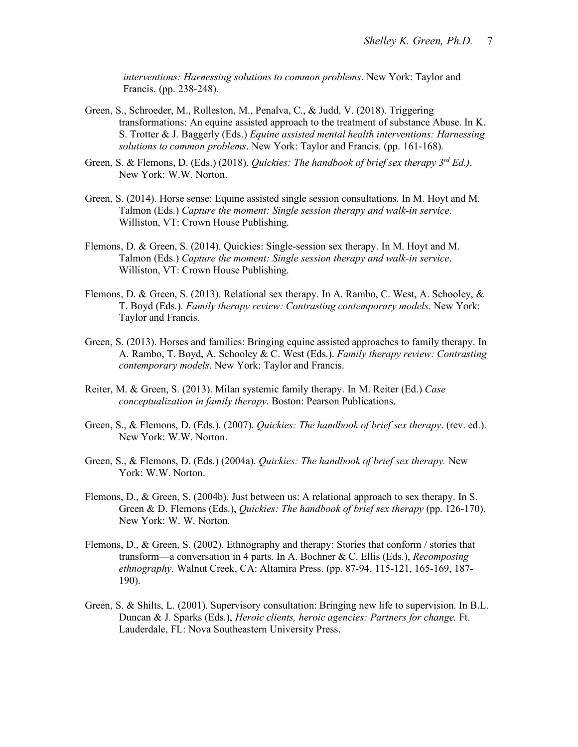*interventions: Harnessing solutions to common problems*. New York: Taylor and Francis. (pp. 238-248).

- Green, S., Schroeder, M., Rolleston, M., Penalva, C., & Judd, V. (2018). Triggering transformations: An equine assisted approach to the treatment of substance Abuse. In K. S. Trotter & J. Baggerly (Eds.) *Equine assisted mental health interventions: Harnessing solutions to common problems*. New York: Taylor and Francis. (pp. 161-168).
- Green, S. & Flemons, D. (Eds.) (2018). *Quickies: The handbook of brief sex therapy 3rd Ed.)*. New York: W.W. Norton.
- Green, S. (2014). Horse sense: Equine assisted single session consultations. In M. Hoyt and M. Talmon (Eds.) *Capture the moment: Single session therapy and walk-in service*. Williston, VT: Crown House Publishing.
- Flemons, D. & Green, S. (2014). Quickies: Single-session sex therapy. In M. Hoyt and M. Talmon (Eds.) *Capture the moment: Single session therapy and walk-in service*. Williston, VT: Crown House Publishing.
- Flemons, D. & Green, S. (2013). Relational sex therapy. In A. Rambo, C. West, A. Schooley, & T. Boyd (Eds.). *Family therapy review: Contrasting contemporary models*. New York: Taylor and Francis.
- Green, S. (2013). Horses and families: Bringing equine assisted approaches to family therapy. In A. Rambo, T. Boyd, A. Schooley & C. West (Eds.). *Family therapy review: Contrasting contemporary models*. New York: Taylor and Francis.
- Reiter, M. & Green, S. (2013). Milan systemic family therapy. In M. Reiter (Ed.) *Case conceptualization in family therapy*. Boston: Pearson Publications.
- Green, S., & Flemons, D. (Eds.). (2007). *Quickies: The handbook of brief sex therapy*. (rev. ed.). New York: W.W. Norton.
- Green, S., & Flemons, D. (Eds.) (2004a). *Quickies: The handbook of brief sex therapy.* New York: W.W. Norton.
- Flemons, D., & Green, S. (2004b). Just between us: A relational approach to sex therapy. In S. Green & D. Flemons (Eds.), *Quickies: The handbook of brief sex therapy* (pp. 126-170). New York: W. W. Norton.
- Flemons, D., & Green, S. (2002). Ethnography and therapy: Stories that conform / stories that transform—a conversation in 4 parts. In A. Bochner & C. Ellis (Eds.), *Recomposing ethnography*. Walnut Creek, CA: Altamira Press. (pp. 87-94, 115-121, 165-169, 187- 190).
- Green, S. & Shilts, L. (2001). Supervisory consultation: Bringing new life to supervision. In B.L. Duncan & J. Sparks (Eds.), *Heroic clients, heroic agencies: Partners for change.* Ft. Lauderdale, FL: Nova Southeastern University Press.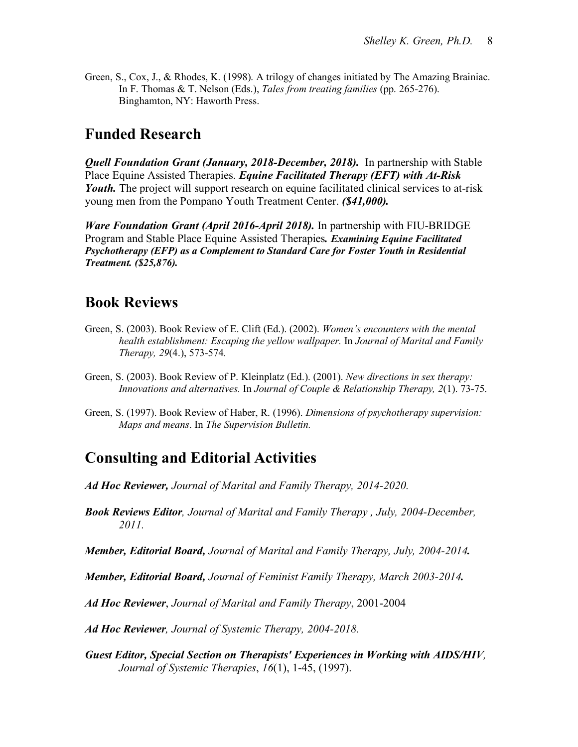Green, S., Cox, J., & Rhodes, K. (1998). A trilogy of changes initiated by The Amazing Brainiac. In F. Thomas & T. Nelson (Eds.), *Tales from treating families* (pp. 265-276). Binghamton, NY: Haworth Press.

# **Funded Research**

*Quell Foundation Grant (January, 2018-December, 2018).* In partnership with Stable Place Equine Assisted Therapies. *Equine Facilitated Therapy (EFT) with At-Risk Youth.* The project will support research on equine facilitated clinical services to at-risk young men from the Pompano Youth Treatment Center. *(\$41,000).*

*Ware Foundation Grant (April 2016-April 2018).* In partnership with FIU-BRIDGE Program and Stable Place Equine Assisted Therapies*. Examining Equine Facilitated Psychotherapy (EFP) as a Complement to Standard Care for Foster Youth in Residential Treatment. (\$25,876).*

### **Book Reviews**

- Green, S. (2003). Book Review of E. Clift (Ed.). (2002). *Women's encounters with the mental health establishment: Escaping the yellow wallpaper.* In *Journal of Marital and Family Therapy, 29*(4.), 573-574*.*
- Green, S. (2003). Book Review of P. Kleinplatz (Ed.). (2001). *New directions in sex therapy: Innovations and alternatives.* In *Journal of Couple & Relationship Therapy, 2*(1). 73-75.
- Green, S. (1997). Book Review of Haber, R. (1996). *Dimensions of psychotherapy supervision: Maps and means*. In *The Supervision Bulletin.*

### **Consulting and Editorial Activities**

- *Ad Hoc Reviewer, Journal of Marital and Family Therapy, 2014-2020.*
- *Book Reviews Editor, Journal of Marital and Family Therapy , July, 2004-December, 2011.*
- *Member, Editorial Board, Journal of Marital and Family Therapy, July, 2004-2014.*

*Member, Editorial Board, Journal of Feminist Family Therapy, March 2003-2014.*

*Ad Hoc Reviewer*, *Journal of Marital and Family Therapy*, 2001-2004

*Ad Hoc Reviewer, Journal of Systemic Therapy, 2004-2018.*

*Guest Editor, Special Section on Therapists' Experiences in Working with AIDS/HIV, Journal of Systemic Therapies*, *16*(1), 1-45, (1997).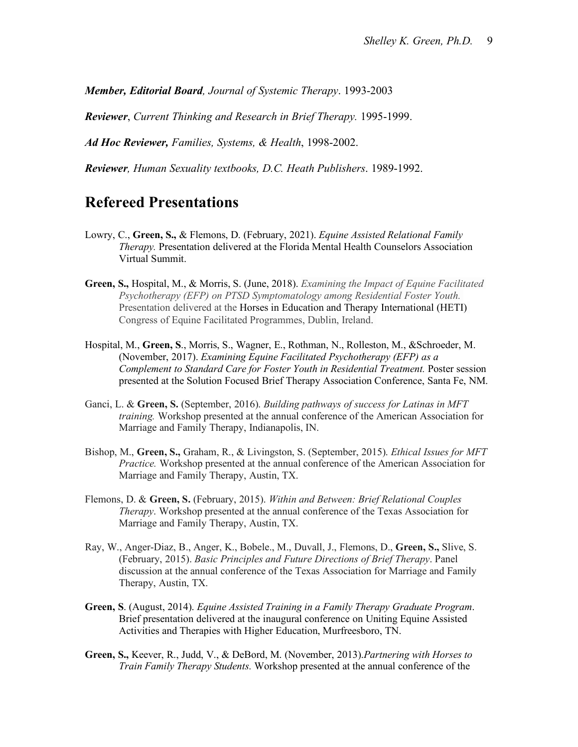*Member, Editorial Board, Journal of Systemic Therapy*. 1993-2003

*Reviewer*, *Current Thinking and Research in Brief Therapy.* 1995-1999.

*Ad Hoc Reviewer, Families, Systems, & Health*, 1998-2002.

*Reviewer, Human Sexuality textbooks, D.C. Heath Publishers*. 1989-1992.

#### **Refereed Presentations**

- Lowry, C., **Green, S.,** & Flemons, D. (February, 2021). *Equine Assisted Relational Family Therapy.* Presentation delivered at the Florida Mental Health Counselors Association Virtual Summit.
- **Green, S.,** Hospital, M., & Morris, S. (June, 2018). *Examining the Impact of Equine Facilitated Psychotherapy (EFP) on PTSD Symptomatology among Residential Foster Youth.*  Presentation delivered at the Horses in Education and Therapy International (HETI) Congress of Equine Facilitated Programmes, Dublin, Ireland.
- Hospital, M., **Green, S**., Morris, S., Wagner, E., Rothman, N., Rolleston, M., &Schroeder, M. (November, 2017). *Examining Equine Facilitated Psychotherapy (EFP) as a Complement to Standard Care for Foster Youth in Residential Treatment.* Poster session presented at the Solution Focused Brief Therapy Association Conference, Santa Fe, NM.
- Ganci, L. & **Green, S.** (September, 2016). *Building pathways of success for Latinas in MFT training.* Workshop presented at the annual conference of the American Association for Marriage and Family Therapy, Indianapolis, IN.
- Bishop, M., **Green, S.,** Graham, R., & Livingston, S. (September, 2015). *Ethical Issues for MFT Practice.* Workshop presented at the annual conference of the American Association for Marriage and Family Therapy, Austin, TX.
- Flemons, D. & **Green, S.** (February, 2015). *Within and Between: Brief Relational Couples Therapy*. Workshop presented at the annual conference of the Texas Association for Marriage and Family Therapy, Austin, TX.
- Ray, W., Anger-Diaz, B., Anger, K., Bobele., M., Duvall, J., Flemons, D., **Green, S.,** Slive, S. (February, 2015). *Basic Principles and Future Directions of Brief Therapy*. Panel discussion at the annual conference of the Texas Association for Marriage and Family Therapy, Austin, TX.
- **Green, S**. (August, 2014). *Equine Assisted Training in a Family Therapy Graduate Program*. Brief presentation delivered at the inaugural conference on Uniting Equine Assisted Activities and Therapies with Higher Education, Murfreesboro, TN.
- **Green, S.,** Keever, R., Judd, V., & DeBord, M. (November, 2013).*Partnering with Horses to Train Family Therapy Students.* Workshop presented at the annual conference of the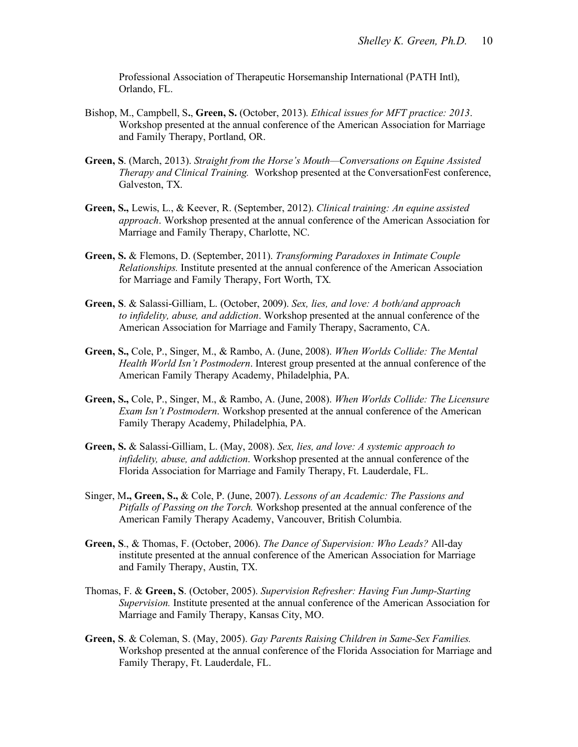Professional Association of Therapeutic Horsemanship International (PATH Intl), Orlando, FL.

- Bishop, M., Campbell, S**.**, **Green, S.** (October, 2013). *Ethical issues for MFT practice: 2013*. Workshop presented at the annual conference of the American Association for Marriage and Family Therapy, Portland, OR.
- **Green, S**. (March, 2013). *Straight from the Horse's Mouth—Conversations on Equine Assisted Therapy and Clinical Training.* Workshop presented at the ConversationFest conference, Galveston, TX.
- **Green, S.,** Lewis, L., & Keever, R. (September, 2012). *Clinical training: An equine assisted approach*. Workshop presented at the annual conference of the American Association for Marriage and Family Therapy, Charlotte, NC.
- **Green, S.** & Flemons, D. (September, 2011). *Transforming Paradoxes in Intimate Couple Relationships.* Institute presented at the annual conference of the American Association for Marriage and Family Therapy, Fort Worth, TX*.*
- **Green, S**. & Salassi-Gilliam, L. (October, 2009). *Sex, lies, and love: A both/and approach to infidelity, abuse, and addiction*. Workshop presented at the annual conference of the American Association for Marriage and Family Therapy, Sacramento, CA.
- **Green, S.,** Cole, P., Singer, M., & Rambo, A. (June, 2008). *When Worlds Collide: The Mental Health World Isn't Postmodern*. Interest group presented at the annual conference of the American Family Therapy Academy, Philadelphia, PA.
- **Green, S.,** Cole, P., Singer, M., & Rambo, A. (June, 2008). *When Worlds Collide: The Licensure Exam Isn't Postmodern*. Workshop presented at the annual conference of the American Family Therapy Academy, Philadelphia, PA.
- **Green, S.** & Salassi-Gilliam, L. (May, 2008). *Sex, lies, and love: A systemic approach to infidelity, abuse, and addiction*. Workshop presented at the annual conference of the Florida Association for Marriage and Family Therapy, Ft. Lauderdale, FL.
- Singer, M**., Green, S.,** & Cole, P. (June, 2007). *Lessons of an Academic: The Passions and Pitfalls of Passing on the Torch.* Workshop presented at the annual conference of the American Family Therapy Academy, Vancouver, British Columbia.
- **Green, S**., & Thomas, F. (October, 2006). *The Dance of Supervision: Who Leads?* All-day institute presented at the annual conference of the American Association for Marriage and Family Therapy, Austin, TX.
- Thomas, F. & **Green, S**. (October, 2005). *Supervision Refresher: Having Fun Jump-Starting Supervision.* Institute presented at the annual conference of the American Association for Marriage and Family Therapy, Kansas City, MO.
- **Green, S**. & Coleman, S. (May, 2005). *Gay Parents Raising Children in Same-Sex Families.* Workshop presented at the annual conference of the Florida Association for Marriage and Family Therapy, Ft. Lauderdale, FL.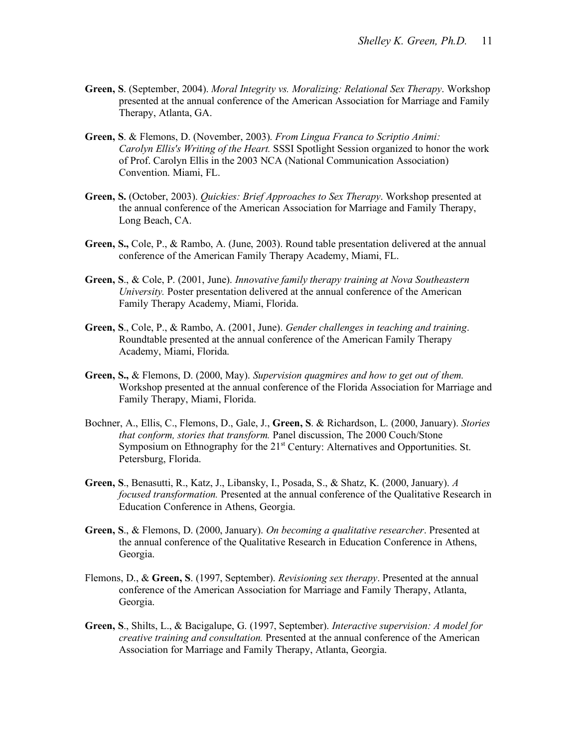- **Green, S**. (September, 2004). *Moral Integrity vs. Moralizing: Relational Sex Therapy*. Workshop presented at the annual conference of the American Association for Marriage and Family Therapy, Atlanta, GA.
- **Green, S**. & Flemons, D. (November, 2003). *From Lingua Franca to Scriptio Animi: Carolyn Ellis's Writing of the Heart.* SSSI Spotlight Session organized to honor the work of Prof. Carolyn Ellis in the 2003 NCA (National Communication Association) Convention. Miami, FL.
- **Green, S.** (October, 2003). *Quickies: Brief Approaches to Sex Therapy*. Workshop presented at the annual conference of the American Association for Marriage and Family Therapy, Long Beach, CA.
- **Green, S.,** Cole, P., & Rambo, A. (June, 2003). Round table presentation delivered at the annual conference of the American Family Therapy Academy, Miami, FL.
- **Green, S**., & Cole, P. (2001, June). *Innovative family therapy training at Nova Southeastern University.* Poster presentation delivered at the annual conference of the American Family Therapy Academy, Miami, Florida.
- **Green, S**., Cole, P., & Rambo, A. (2001, June). *Gender challenges in teaching and training*. Roundtable presented at the annual conference of the American Family Therapy Academy, Miami, Florida.
- **Green, S.,** & Flemons, D. (2000, May). *Supervision quagmires and how to get out of them.* Workshop presented at the annual conference of the Florida Association for Marriage and Family Therapy, Miami, Florida.
- Bochner, A., Ellis, C., Flemons, D., Gale, J., **Green, S**. & Richardson, L. (2000, January). *Stories that conform, stories that transform.* Panel discussion, The 2000 Couch/Stone Symposium on Ethnography for the  $21<sup>st</sup>$  Century: Alternatives and Opportunities. St. Petersburg, Florida.
- **Green, S**., Benasutti, R., Katz, J., Libansky, I., Posada, S., & Shatz, K. (2000, January). *A focused transformation.* Presented at the annual conference of the Qualitative Research in Education Conference in Athens, Georgia.
- **Green, S**., & Flemons, D. (2000, January). *On becoming a qualitative researcher*. Presented at the annual conference of the Qualitative Research in Education Conference in Athens, Georgia.
- Flemons, D., & **Green, S**. (1997, September). *Revisioning sex therapy*. Presented at the annual conference of the American Association for Marriage and Family Therapy, Atlanta, Georgia.
- **Green, S**., Shilts, L., & Bacigalupe, G. (1997, September). *Interactive supervision: A model for creative training and consultation.* Presented at the annual conference of the American Association for Marriage and Family Therapy, Atlanta, Georgia.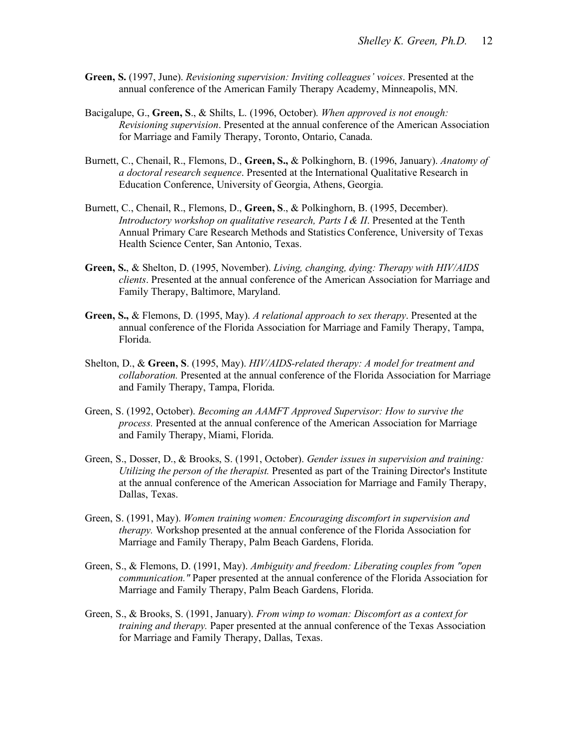- **Green, S.** (1997, June). *Revisioning supervision: Inviting colleagues' voices*. Presented at the annual conference of the American Family Therapy Academy, Minneapolis, MN.
- Bacigalupe, G., **Green, S**., & Shilts, L. (1996, October). *When approved is not enough: Revisioning supervision*. Presented at the annual conference of the American Association for Marriage and Family Therapy, Toronto, Ontario, Canada.
- Burnett, C., Chenail, R., Flemons, D., **Green, S.,** & Polkinghorn, B. (1996, January). *Anatomy of a doctoral research sequence*. Presented at the International Qualitative Research in Education Conference, University of Georgia, Athens, Georgia.
- Burnett, C., Chenail, R., Flemons, D., **Green, S**., & Polkinghorn, B. (1995, December). *Introductory workshop on qualitative research, Parts I & II*. Presented at the Tenth Annual Primary Care Research Methods and Statistics Conference, University of Texas Health Science Center, San Antonio, Texas.
- **Green, S.**, & Shelton, D. (1995, November). *Living, changing, dying: Therapy with HIV/AIDS clients*. Presented at the annual conference of the American Association for Marriage and Family Therapy, Baltimore, Maryland.
- **Green, S.,** & Flemons, D. (1995, May). *A relational approach to sex therapy*. Presented at the annual conference of the Florida Association for Marriage and Family Therapy, Tampa, Florida.
- Shelton, D., & **Green, S**. (1995, May). *HIV/AIDS-related therapy: A model for treatment and collaboration.* Presented at the annual conference of the Florida Association for Marriage and Family Therapy, Tampa, Florida.
- Green, S. (1992, October). *Becoming an AAMFT Approved Supervisor: How to survive the process.* Presented at the annual conference of the American Association for Marriage and Family Therapy, Miami, Florida.
- Green, S., Dosser, D., & Brooks, S. (1991, October). *Gender issues in supervision and training: Utilizing the person of the therapist.* Presented as part of the Training Director's Institute at the annual conference of the American Association for Marriage and Family Therapy, Dallas, Texas.
- Green, S. (1991, May). *Women training women: Encouraging discomfort in supervision and therapy.* Workshop presented at the annual conference of the Florida Association for Marriage and Family Therapy, Palm Beach Gardens, Florida.
- Green, S., & Flemons, D. (1991, May). *Ambiguity and freedom: Liberating couples from "open communication."* Paper presented at the annual conference of the Florida Association for Marriage and Family Therapy, Palm Beach Gardens, Florida.
- Green, S., & Brooks, S. (1991, January). *From wimp to woman: Discomfort as a context for training and therapy.* Paper presented at the annual conference of the Texas Association for Marriage and Family Therapy, Dallas, Texas.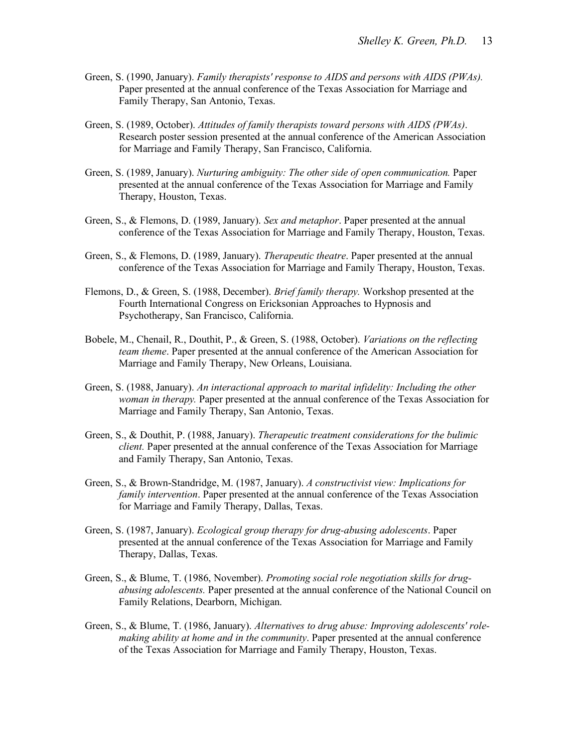- Green, S. (1990, January). *Family therapists' response to AIDS and persons with AIDS (PWAs).*  Paper presented at the annual conference of the Texas Association for Marriage and Family Therapy, San Antonio, Texas.
- Green, S. (1989, October). *Attitudes of family therapists toward persons with AIDS (PWAs)*. Research poster session presented at the annual conference of the American Association for Marriage and Family Therapy, San Francisco, California.
- Green, S. (1989, January). *Nurturing ambiguity: The other side of open communication.* Paper presented at the annual conference of the Texas Association for Marriage and Family Therapy, Houston, Texas.
- Green, S., & Flemons, D. (1989, January). *Sex and metaphor*. Paper presented at the annual conference of the Texas Association for Marriage and Family Therapy, Houston, Texas.
- Green, S., & Flemons, D. (1989, January). *Therapeutic theatre*. Paper presented at the annual conference of the Texas Association for Marriage and Family Therapy, Houston, Texas.
- Flemons, D., & Green, S. (1988, December). *Brief family therapy.* Workshop presented at the Fourth International Congress on Ericksonian Approaches to Hypnosis and Psychotherapy, San Francisco, California.
- Bobele, M., Chenail, R., Douthit, P., & Green, S. (1988, October). *Variations on the reflecting team theme*. Paper presented at the annual conference of the American Association for Marriage and Family Therapy, New Orleans, Louisiana.
- Green, S. (1988, January). *An interactional approach to marital infidelity: Including the other woman in therapy.* Paper presented at the annual conference of the Texas Association for Marriage and Family Therapy, San Antonio, Texas.
- Green, S., & Douthit, P. (1988, January). *Therapeutic treatment considerations for the bulimic client.* Paper presented at the annual conference of the Texas Association for Marriage and Family Therapy, San Antonio, Texas.
- Green, S., & Brown-Standridge, M. (1987, January). *A constructivist view: Implications for family intervention*. Paper presented at the annual conference of the Texas Association for Marriage and Family Therapy, Dallas, Texas.
- Green, S. (1987, January). *Ecological group therapy for drug-abusing adolescents*. Paper presented at the annual conference of the Texas Association for Marriage and Family Therapy, Dallas, Texas.
- Green, S., & Blume, T. (1986, November). *Promoting social role negotiation skills for drugabusing adolescents.* Paper presented at the annual conference of the National Council on Family Relations, Dearborn, Michigan.
- Green, S., & Blume, T. (1986, January). *Alternatives to drug abuse: Improving adolescents' rolemaking ability at home and in the community*. Paper presented at the annual conference of the Texas Association for Marriage and Family Therapy, Houston, Texas.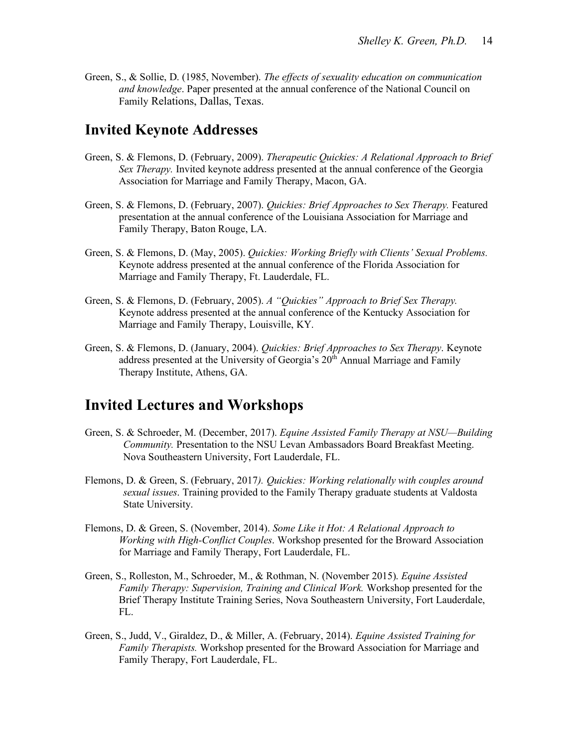Green, S., & Sollie, D. (1985, November). *The effects of sexuality education on communication and knowledge*. Paper presented at the annual conference of the National Council on Family Relations, Dallas, Texas.

#### **Invited Keynote Addresses**

- Green, S. & Flemons, D. (February, 2009). *Therapeutic Quickies: A Relational Approach to Brief Sex Therapy.* Invited keynote address presented at the annual conference of the Georgia Association for Marriage and Family Therapy, Macon, GA.
- Green, S. & Flemons, D. (February, 2007). *Quickies: Brief Approaches to Sex Therapy.* Featured presentation at the annual conference of the Louisiana Association for Marriage and Family Therapy, Baton Rouge, LA.
- Green, S. & Flemons, D. (May, 2005). *Quickies: Working Briefly with Clients' Sexual Problems.* Keynote address presented at the annual conference of the Florida Association for Marriage and Family Therapy, Ft. Lauderdale, FL.
- Green, S. & Flemons, D. (February, 2005). *A "Quickies" Approach to Brief Sex Therapy.* Keynote address presented at the annual conference of the Kentucky Association for Marriage and Family Therapy, Louisville, KY.
- Green, S. & Flemons, D. (January, 2004). *Quickies: Brief Approaches to Sex Therapy*. Keynote address presented at the University of Georgia's  $20<sup>th</sup>$  Annual Marriage and Family Therapy Institute, Athens, GA.

### **Invited Lectures and Workshops**

- Green, S. & Schroeder, M. (December, 2017). *Equine Assisted Family Therapy at NSU—Building Community.* Presentation to the NSU Levan Ambassadors Board Breakfast Meeting. Nova Southeastern University, Fort Lauderdale, FL.
- Flemons, D. & Green, S. (February, 2017*). Quickies: Working relationally with couples around sexual issues*. Training provided to the Family Therapy graduate students at Valdosta State University.
- Flemons, D. & Green, S. (November, 2014). *Some Like it Hot: A Relational Approach to Working with High-Conflict Couples*. Workshop presented for the Broward Association for Marriage and Family Therapy, Fort Lauderdale, FL.
- Green, S., Rolleston, M., Schroeder, M., & Rothman, N. (November 2015). *Equine Assisted Family Therapy: Supervision, Training and Clinical Work.* Workshop presented for the Brief Therapy Institute Training Series, Nova Southeastern University, Fort Lauderdale, FL.
- Green, S., Judd, V., Giraldez, D., & Miller, A. (February, 2014). *Equine Assisted Training for Family Therapists.* Workshop presented for the Broward Association for Marriage and Family Therapy, Fort Lauderdale, FL.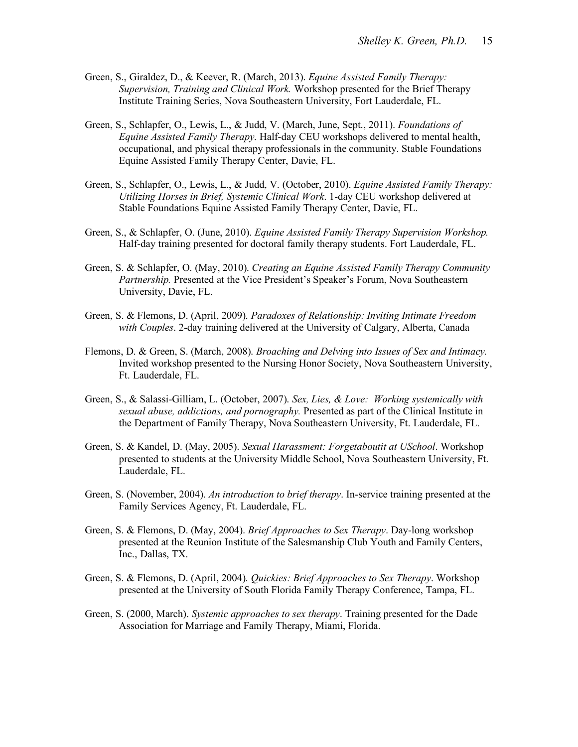- Green, S., Giraldez, D., & Keever, R. (March, 2013). *Equine Assisted Family Therapy: Supervision, Training and Clinical Work.* Workshop presented for the Brief Therapy Institute Training Series, Nova Southeastern University, Fort Lauderdale, FL.
- Green, S., Schlapfer, O., Lewis, L., & Judd, V. (March, June, Sept., 2011). *Foundations of Equine Assisted Family Therapy*. Half-day CEU workshops delivered to mental health, occupational, and physical therapy professionals in the community. Stable Foundations Equine Assisted Family Therapy Center, Davie, FL.
- Green, S., Schlapfer, O., Lewis, L., & Judd, V. (October, 2010). *Equine Assisted Family Therapy: Utilizing Horses in Brief, Systemic Clinical Work*. 1-day CEU workshop delivered at Stable Foundations Equine Assisted Family Therapy Center, Davie, FL.
- Green, S., & Schlapfer, O. (June, 2010). *Equine Assisted Family Therapy Supervision Workshop.* Half-day training presented for doctoral family therapy students. Fort Lauderdale, FL.
- Green, S. & Schlapfer, O. (May, 2010). *Creating an Equine Assisted Family Therapy Community Partnership.* Presented at the Vice President's Speaker's Forum, Nova Southeastern University, Davie, FL.
- Green, S. & Flemons, D. (April, 2009). *Paradoxes of Relationship: Inviting Intimate Freedom with Couples*. 2-day training delivered at the University of Calgary, Alberta, Canada
- Flemons, D. & Green, S. (March, 2008). *Broaching and Delving into Issues of Sex and Intimacy.*  Invited workshop presented to the Nursing Honor Society, Nova Southeastern University, Ft. Lauderdale, FL.
- Green, S., & Salassi-Gilliam, L. (October, 2007). *Sex, Lies, & Love: Working systemically with sexual abuse, addictions, and pornography.* Presented as part of the Clinical Institute in the Department of Family Therapy, Nova Southeastern University, Ft. Lauderdale, FL.
- Green, S. & Kandel, D. (May, 2005). *Sexual Harassment: Forgetaboutit at USchool*. Workshop presented to students at the University Middle School, Nova Southeastern University, Ft. Lauderdale, FL.
- Green, S. (November, 2004). *An introduction to brief therapy*. In-service training presented at the Family Services Agency, Ft. Lauderdale, FL.
- Green, S. & Flemons, D. (May, 2004). *Brief Approaches to Sex Therapy*. Day-long workshop presented at the Reunion Institute of the Salesmanship Club Youth and Family Centers, Inc., Dallas, TX.
- Green, S. & Flemons, D. (April, 2004). *Quickies: Brief Approaches to Sex Therapy*. Workshop presented at the University of South Florida Family Therapy Conference, Tampa, FL.
- Green, S. (2000, March). *Systemic approaches to sex therapy*. Training presented for the Dade Association for Marriage and Family Therapy, Miami, Florida.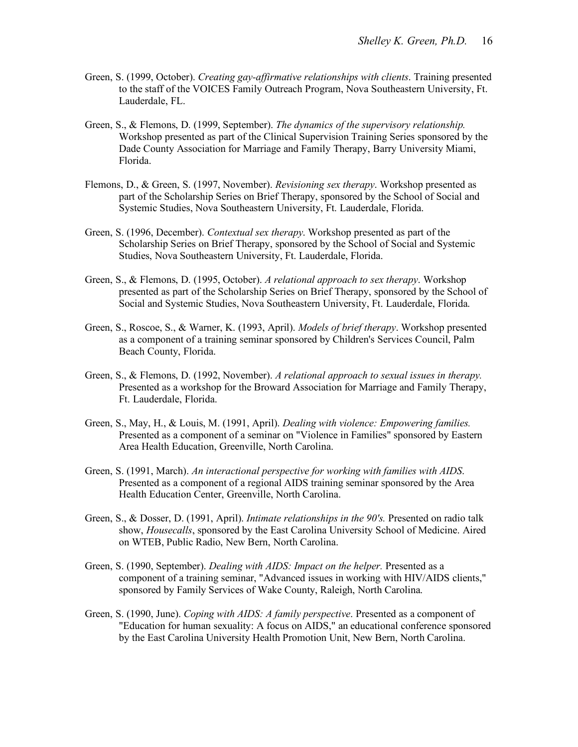- Green, S. (1999, October). *Creating gay-affirmative relationships with clients*. Training presented to the staff of the VOICES Family Outreach Program, Nova Southeastern University, Ft. Lauderdale, FL.
- Green, S., & Flemons, D. (1999, September). *The dynamics of the supervisory relationship.* Workshop presented as part of the Clinical Supervision Training Series sponsored by the Dade County Association for Marriage and Family Therapy, Barry University Miami, Florida.
- Flemons, D., & Green, S. (1997, November). *Revisioning sex therapy*. Workshop presented as part of the Scholarship Series on Brief Therapy, sponsored by the School of Social and Systemic Studies, Nova Southeastern University, Ft. Lauderdale, Florida.
- Green, S. (1996, December). *Contextual sex therapy*. Workshop presented as part of the Scholarship Series on Brief Therapy, sponsored by the School of Social and Systemic Studies, Nova Southeastern University, Ft. Lauderdale, Florida.
- Green, S., & Flemons, D. (1995, October). *A relational approach to sex therapy*. Workshop presented as part of the Scholarship Series on Brief Therapy, sponsored by the School of Social and Systemic Studies, Nova Southeastern University, Ft. Lauderdale, Florida.
- Green, S., Roscoe, S., & Warner, K. (1993, April). *Models of brief therapy*. Workshop presented as a component of a training seminar sponsored by Children's Services Council, Palm Beach County, Florida.
- Green, S., & Flemons, D. (1992, November). *A relational approach to sexual issues in therapy.* Presented as a workshop for the Broward Association for Marriage and Family Therapy, Ft. Lauderdale, Florida.
- Green, S., May, H., & Louis, M. (1991, April). *Dealing with violence: Empowering families.*  Presented as a component of a seminar on "Violence in Families" sponsored by Eastern Area Health Education, Greenville, North Carolina.
- Green, S. (1991, March). *An interactional perspective for working with families with AIDS*. Presented as a component of a regional AIDS training seminar sponsored by the Area Health Education Center, Greenville, North Carolina.
- Green, S., & Dosser, D. (1991, April). *Intimate relationships in the 90's.* Presented on radio talk show, *Housecalls*, sponsored by the East Carolina University School of Medicine. Aired on WTEB, Public Radio, New Bern, North Carolina.
- Green, S. (1990, September). *Dealing with AIDS: Impact on the helper.* Presented as a component of a training seminar, "Advanced issues in working with HIV/AIDS clients," sponsored by Family Services of Wake County, Raleigh, North Carolina.
- Green, S. (1990, June). *Coping with AIDS: A family perspective*. Presented as a component of "Education for human sexuality: A focus on AIDS," an educational conference sponsored by the East Carolina University Health Promotion Unit, New Bern, North Carolina.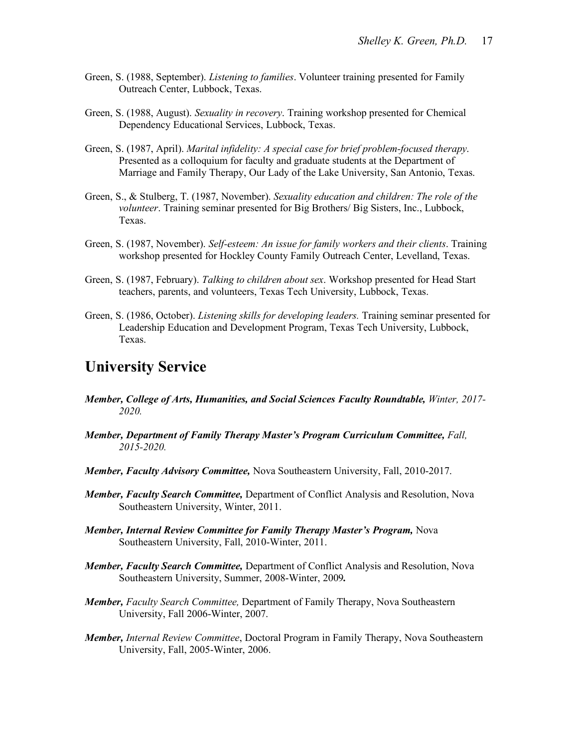- Green, S. (1988, September). *Listening to families*. Volunteer training presented for Family Outreach Center, Lubbock, Texas.
- Green, S. (1988, August). *Sexuality in recovery*. Training workshop presented for Chemical Dependency Educational Services, Lubbock, Texas.
- Green, S. (1987, April). *Marital infidelity: A special case for brief problem-focused therapy*. Presented as a colloquium for faculty and graduate students at the Department of Marriage and Family Therapy, Our Lady of the Lake University, San Antonio, Texas.
- Green, S., & Stulberg, T. (1987, November). *Sexuality education and children: The role of the volunteer*. Training seminar presented for Big Brothers/ Big Sisters, Inc., Lubbock, Texas.
- Green, S. (1987, November). *Self-esteem: An issue for family workers and their clients*. Training workshop presented for Hockley County Family Outreach Center, Levelland, Texas.
- Green, S. (1987, February). *Talking to children about sex*. Workshop presented for Head Start teachers, parents, and volunteers, Texas Tech University, Lubbock, Texas.
- Green, S. (1986, October). *Listening skills for developing leaders.* Training seminar presented for Leadership Education and Development Program, Texas Tech University, Lubbock, Texas.

# **University Service**

- *Member, College of Arts, Humanities, and Social Sciences Faculty Roundtable, Winter, 2017-2020.*
- *Member, Department of Family Therapy Master's Program Curriculum Committee, Fall, 2015-2020.*
- *Member, Faculty Advisory Committee,* Nova Southeastern University, Fall, 2010-2017.
- *Member, Faculty Search Committee,* Department of Conflict Analysis and Resolution, Nova Southeastern University, Winter, 2011.
- *Member, Internal Review Committee for Family Therapy Master's Program,* Nova Southeastern University, Fall, 2010-Winter, 2011.
- *Member, Faculty Search Committee,* Department of Conflict Analysis and Resolution, Nova Southeastern University, Summer, 2008-Winter, 2009*.*
- *Member, Faculty Search Committee,* Department of Family Therapy, Nova Southeastern University, Fall 2006-Winter, 2007.
- *Member, Internal Review Committee*, Doctoral Program in Family Therapy, Nova Southeastern University, Fall, 2005-Winter, 2006.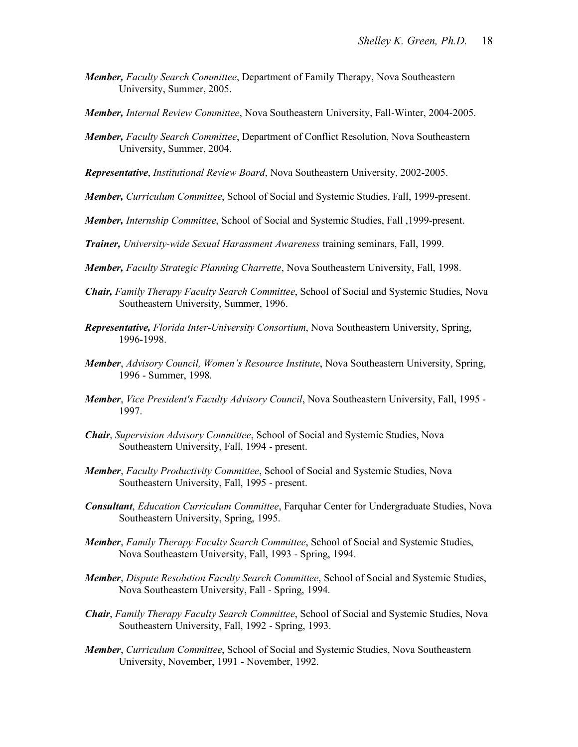- *Member, Faculty Search Committee*, Department of Family Therapy, Nova Southeastern University, Summer, 2005.
- *Member, Internal Review Committee*, Nova Southeastern University, Fall-Winter, 2004-2005.
- *Member, Faculty Search Committee*, Department of Conflict Resolution, Nova Southeastern University, Summer, 2004.
- *Representative*, *Institutional Review Board*, Nova Southeastern University, 2002-2005.
- *Member, Curriculum Committee*, School of Social and Systemic Studies, Fall, 1999-present.
- *Member, Internship Committee*, School of Social and Systemic Studies, Fall ,1999-present.
- *Trainer, University-wide Sexual Harassment Awareness* training seminars, Fall, 1999.
- *Member, Faculty Strategic Planning Charrette*, Nova Southeastern University, Fall, 1998.
- *Chair, Family Therapy Faculty Search Committee*, School of Social and Systemic Studies, Nova Southeastern University, Summer, 1996.
- *Representative, Florida Inter-University Consortium*, Nova Southeastern University, Spring, 1996-1998.
- *Member*, *Advisory Council, Women's Resource Institute*, Nova Southeastern University, Spring, 1996 - Summer, 1998.
- *Member*, *Vice President's Faculty Advisory Council*, Nova Southeastern University, Fall, 1995 1997.
- *Chair*, *Supervision Advisory Committee*, School of Social and Systemic Studies, Nova Southeastern University, Fall, 1994 - present.
- *Member*, *Faculty Productivity Committee*, School of Social and Systemic Studies, Nova Southeastern University, Fall, 1995 - present.
- *Consultant*, *Education Curriculum Committee*, Farquhar Center for Undergraduate Studies, Nova Southeastern University, Spring, 1995.
- *Member*, *Family Therapy Faculty Search Committee*, School of Social and Systemic Studies, Nova Southeastern University, Fall, 1993 - Spring, 1994.
- *Member*, *Dispute Resolution Faculty Search Committee*, School of Social and Systemic Studies, Nova Southeastern University, Fall - Spring, 1994.
- *Chair*, *Family Therapy Faculty Search Committee*, School of Social and Systemic Studies, Nova Southeastern University, Fall, 1992 - Spring, 1993.
- *Member*, *Curriculum Committee*, School of Social and Systemic Studies, Nova Southeastern University, November, 1991 - November, 1992.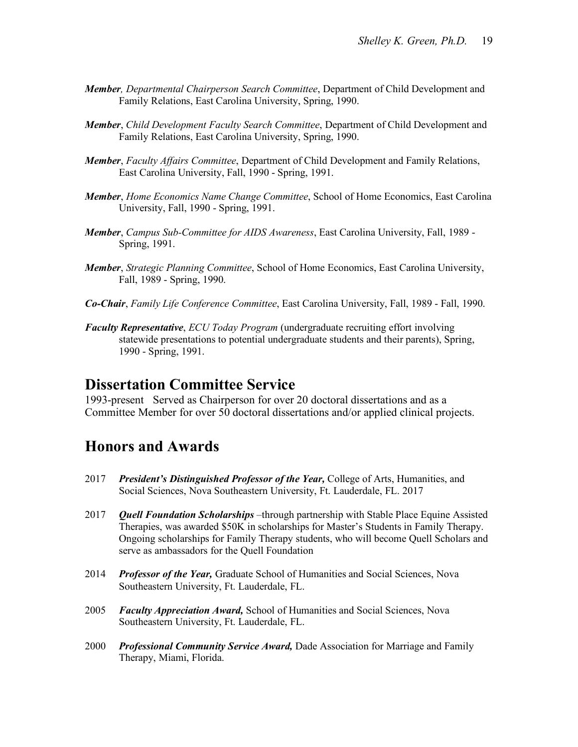- *Member, Departmental Chairperson Search Committee*, Department of Child Development and Family Relations, East Carolina University, Spring, 1990.
- *Member*, *Child Development Faculty Search Committee*, Department of Child Development and Family Relations, East Carolina University, Spring, 1990.
- *Member*, *Faculty Affairs Committee*, Department of Child Development and Family Relations, East Carolina University, Fall, 1990 - Spring, 1991.
- *Member*, *Home Economics Name Change Committee*, School of Home Economics, East Carolina University, Fall, 1990 - Spring, 1991.
- *Member*, *Campus Sub-Committee for AIDS Awareness*, East Carolina University, Fall, 1989 Spring, 1991.
- *Member*, *Strategic Planning Committee*, School of Home Economics, East Carolina University, Fall, 1989 - Spring, 1990.
- *Co-Chair*, *Family Life Conference Committee*, East Carolina University, Fall, 1989 Fall, 1990.
- *Faculty Representative*, *ECU Today Program* (undergraduate recruiting effort involving statewide presentations to potential undergraduate students and their parents), Spring, 1990 - Spring, 1991.

### **Dissertation Committee Service**

1993-present Served as Chairperson for over 20 doctoral dissertations and as a Committee Member for over 50 doctoral dissertations and/or applied clinical projects.

# **Honors and Awards**

- 2017 *President's Distinguished Professor of the Year,* College of Arts, Humanities, and Social Sciences, Nova Southeastern University, Ft. Lauderdale, FL. 2017
- 2017 *Quell Foundation Scholarships* –through partnership with Stable Place Equine Assisted Therapies, was awarded \$50K in scholarships for Master's Students in Family Therapy. Ongoing scholarships for Family Therapy students, who will become Quell Scholars and serve as ambassadors for the Quell Foundation
- 2014 *Professor of the Year,* Graduate School of Humanities and Social Sciences, Nova Southeastern University, Ft. Lauderdale, FL.
- 2005 *Faculty Appreciation Award,* School of Humanities and Social Sciences, Nova Southeastern University, Ft. Lauderdale, FL.
- 2000 *Professional Community Service Award,* Dade Association for Marriage and Family Therapy, Miami, Florida.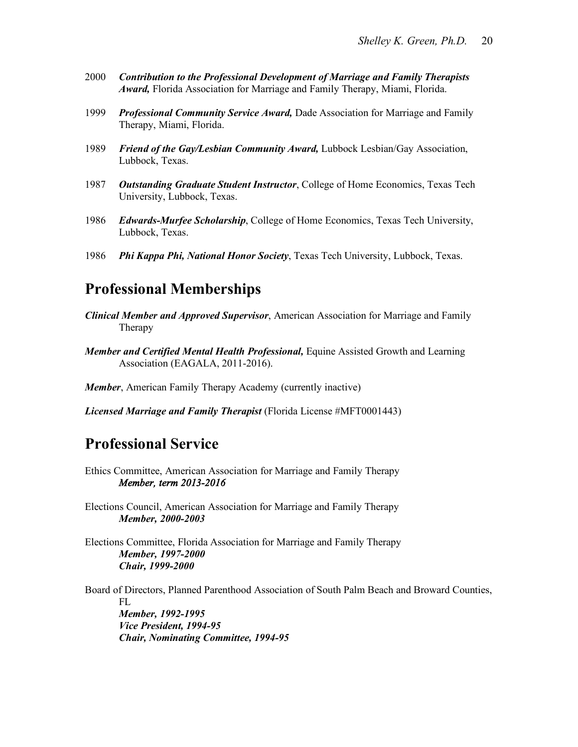- 2000 *Contribution to the Professional Development of Marriage and Family Therapists Award,* Florida Association for Marriage and Family Therapy, Miami, Florida.
- 1999 *Professional Community Service Award,* Dade Association for Marriage and Family Therapy, Miami, Florida.
- 1989 *Friend of the Gay/Lesbian Community Award,* Lubbock Lesbian/Gay Association, Lubbock, Texas.
- 1987 *Outstanding Graduate Student Instructor*, College of Home Economics, Texas Tech University, Lubbock, Texas.
- 1986 *Edwards-Murfee Scholarship*, College of Home Economics, Texas Tech University, Lubbock, Texas.
- 1986 *Phi Kappa Phi, National Honor Society*, Texas Tech University, Lubbock, Texas.

# **Professional Memberships**

- *Clinical Member and Approved Supervisor*, American Association for Marriage and Family Therapy
- *Member and Certified Mental Health Professional,* Equine Assisted Growth and Learning Association (EAGALA, 2011-2016).

*Member*, American Family Therapy Academy (currently inactive)

*Licensed Marriage and Family Therapist* (Florida License #MFT0001443)

# **Professional Service**

Ethics Committee, American Association for Marriage and Family Therapy *Member, term 2013-2016* 

Elections Council, American Association for Marriage and Family Therapy *Member, 2000-2003*

Elections Committee, Florida Association for Marriage and Family Therapy *Member, 1997-2000 Chair, 1999-2000*

Board of Directors, Planned Parenthood Association of South Palm Beach and Broward Counties, FL *Member, 1992-1995 Vice President, 1994-95 Chair, Nominating Committee, 1994-95*